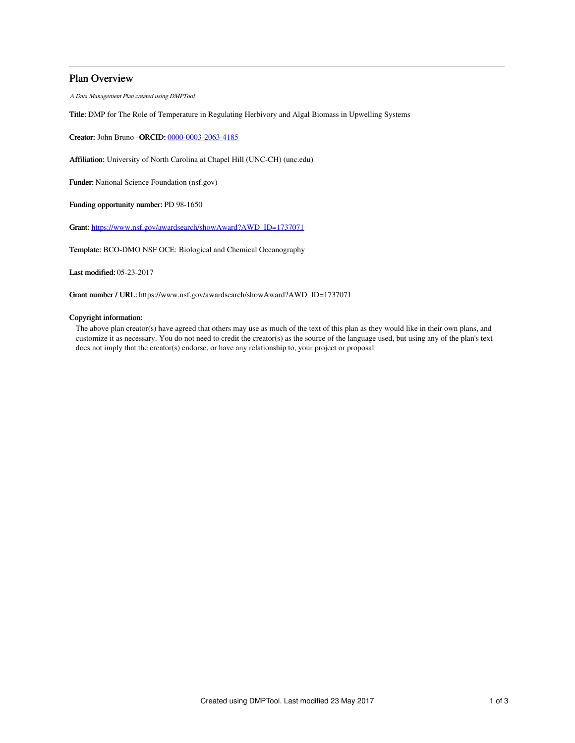## Plan Overview

A Data Management Plan created using DMPTool

Title: DMP for The Role of Temperature in Regulating Herbivory and Algal Biomass in Upwelling Systems

Creator: John Bruno -ORCID: [0000-0003-2063-4185](https://orcid.org/0000-0003-2063-4185)

Affiliation: University of North Carolina at Chapel Hill (UNC-CH) (unc.edu)

Funder: National Science Foundation (nsf.gov)

Funding opportunity number: PD 98-1650

Grant: [https://www.nsf.gov/awardsearch/showAward?AWD\\_ID=1737071](https://www.nsf.gov/awardsearch/showAward?AWD_ID=1737071)

Template: BCO-DMO NSF OCE: Biological and Chemical Oceanography

Last modified: 05-23-2017

Grant number / URL: https://www.nsf.gov/awardsearch/showAward?AWD\_ID=1737071

## Copyright information:

The above plan creator(s) have agreed that others may use as much of the text of this plan as they would like in their own plans, and customize it as necessary. You do not need to credit the creator(s) as the source of the language used, but using any of the plan's text does not imply that the creator(s) endorse, or have any relationship to, your project or proposal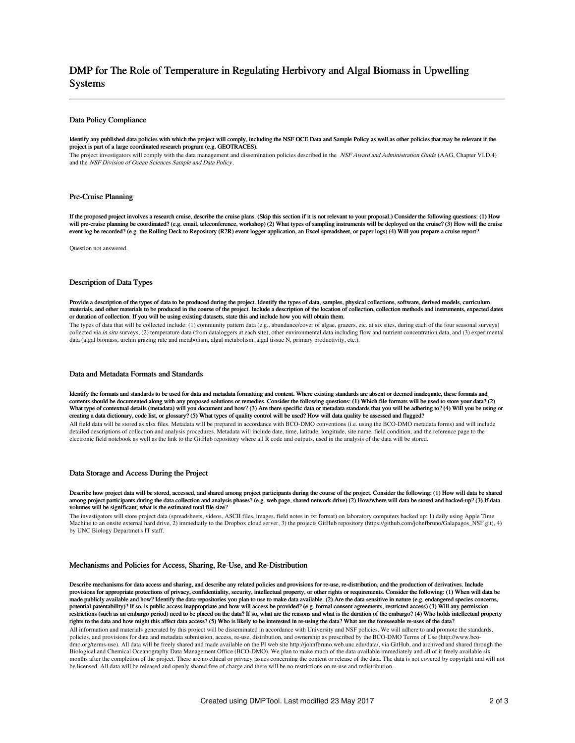# DMP for The Role of Temperature in Regulating Herbivory and Algal Biomass in Upwelling Systems

#### Data Policy Compliance

Identify any published data policies with which the project will comply, including the NSF OCE Data and Sample Policy as well as other policies that may be relevant if the project is part of a large coordinated research program (e.g. GEOTRACES).

The project investigators will comply with the data management and dissemination policies described in the NSF Award and Administration Guide (AAG, Chapter VI.D.4) and the NSF Division of Ocean Sciences Sample and Data Policy .

#### Pre-Cruise Planning

If the proposed project involves a research cruise, describe the cruise plans. (Skip this section if it is not relevant to your proposal.) Consider the following questions: (1) How will pre-cruise planning be coordinated? (e.g. email, teleconference, workshop) (2) What types of sampling instruments will be deployed on the cruise? (3) How will the cruise event log be recorded? (e.g. the Rolling Deck to Repository (R2R) event logger application, an Excel spreadsheet, or paper logs) (4) Will you prepare a cruise report?

Question not answered.

#### Description of Data Types

Provide a description of the types of data to be produced during the project. Identify the types of data, samples, physical collections, software, derived models, curriculum materials, and other materials to be produced in the course of the project. Include a description of the location of collection, collection methods and instruments, expected dates or duration of collection. If you will be using existing datasets, state this and include how you will obtain them.

The types of data that will be collected include: (1) community pattern data (e.g., abundance/cover of algae, grazers, etc. at six sites, during each of the four seasonal surveys) collected via in situ surveys, (2) temperature data (from dataloggers at each site), other environmental data including flow and nutrient concentration data, and (3) experimental data (algal biomass, urchin grazing rate and metabolism, algal metabolism, algal tissue N, primary productivity, etc.).

#### Data and Metadata Formats and Standards

Identify the formats and standards to be used for data and metadata formatting and content. Where existing standards are absent or deemed inadequate, these formats and contents should be documented along with any proposed solutions or remedies. Consider the following questions: (1) Which file formats will be used to store your data? (2) What type of contextual details (metadata) will you document and how? (3) Are there specific data or metadata standards that you will be adhering to? (4) Will you be using or creating a data dictionary, code list, or glossary? (5) What types of quality control will be used? How will data quality be assessed and flagged? All field data will be stored as xlsx files. Metadata will be prepared in accordance with BCO-DMO conventions (i.e. using the BCO-DMO metadata forms) and will include detailed descriptions of collection and analysis procedures. Metadata will include date, time, latitude, longitude, site name, field condition, and the reference page to the electronic field notebook as well as the link to the GitHub repository where all R code and outputs, used in the analysis of the data will be stored.

#### Data Storage and Access During the Project

Describe how project data will be stored, accessed, and shared among project participants during the course of the project. Consider the following: (1) How will data be shared among project participants during the data collection and analysis phases? (e.g. web page, shared network drive) (2) How/where will data be stored and backed-up? (3) If data volumes will be significant, what is the estimated total file size?

The investigators will store project data (spreadsheets, videos, ASCII files, images, field notes in txt format) on laboratory computers backed up: 1) daily using Apple Time Machine to an onsite external hard drive, 2) immediatly to the Dropbox cloud server, 3) the projects GitHub repository (https://github.com/johnfbruno/Galapagos\_NSF.git), 4) by UNC Biology Departmet's IT staff.

#### Mechanisms and Policies for Access, Sharing, Re-Use, and Re-Distribution

Describe mechanisms for data access and sharing, and describe any related policies and provisions for re-use, re-distribution, and the production of derivatives. Include provisions for appropriate protections of privacy, confidentiality, security, intellectual property, or other rights or requirements. Consider the following: (1) When will data be made publicly available and how? Identify the data repositories you plan to use to make data available. (2) Are the data sensitive in nature (e.g. endangered species concerns, potential patentability)? If so, is public access inappropriate and how will access be provided? (e.g. formal consent agreements, restricted access) (3) Will any permission restrictions (such as an embargo period) need to be placed on the data? If so, what are the reasons and what is the duration of the embargo? (4) Who holds intellectual property rights to the data and how might this affect data access? (5) Who is likely to be interested in re-using the data? What are the foreseeable re-uses of the data? All information and materials generated by this project will be disseminated in accordance with University and NSF policies. We will adhere to and promote the standards,

policies, and provisions for data and metadata submission, access, re-use, distribution, and ownership as prescribed by the BCO-DMO Terms of Use (http://www.bcodmo.org/terms-use). All data will be freely shared and made available on the PI web site http://johnfbruno.web.unc.edu/data/, via GitHub, and archived and shared through the Biological and Chemical Oceanography Data Management Office (BCO-DMO). We plan to make much of the data available immediately and all of it freely available six months after the completion of the project. There are no ethical or privacy issues concerning the content or release of the data. The data is not covered by copyright and will not be licensed. All data will be released and openly shared free of charge and there will be no restrictions on re-use and redistribution.